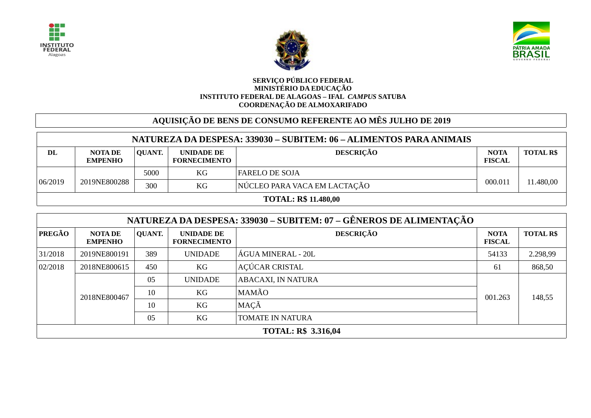





## **SERVIÇO PÚBLICO FEDERAL MINISTÉRIO DA EDUCAÇÃO INSTITUTO FEDERAL DE ALAGOAS – IFAL** *CAMPUS* **SATUBA COORDENAÇÃO DE ALMOXARIFADO**

## **AQUISIÇÃO DE BENS DE CONSUMO REFERENTE AO MÊS JULHO DE 2019**

| NATUREZA DA DESPESA: 339030 – SUBITEM: 06 – ALIMENTOS PARA ANIMAIS |                           |        |                                   |                              |                              |                 |  |
|--------------------------------------------------------------------|---------------------------|--------|-----------------------------------|------------------------------|------------------------------|-----------------|--|
| DL                                                                 | NOTA DE<br><b>EMPENHO</b> | QUANT. | UNIDADE DE<br><b>FORNECIMENTO</b> | <b>DESCRIÇÃO</b>             | <b>NOTA</b><br><b>FISCAL</b> | <b>TOTAL RS</b> |  |
| 06/2019                                                            |                           | 5000   | KG                                | <b>FARELO DE SOJA</b>        |                              |                 |  |
|                                                                    | 2019NE800288              | 300    | KG                                | NÚCLEO PARA VACA EM LACTAÇÃO | 000.011                      | 11.480,00       |  |
| <b>TOTAL: R\$ 11.480,00</b>                                        |                           |        |                                   |                              |                              |                 |  |

|                            | NATUREZA DA DESPESA: 339030 – SUBITEM: 07 – GÊNEROS DE ALIMENTAÇÃO |          |                                   |                         |                              |                  |  |  |  |  |
|----------------------------|--------------------------------------------------------------------|----------|-----------------------------------|-------------------------|------------------------------|------------------|--|--|--|--|
| PREGÃO                     | <b>NOTA DE</b><br><b>EMPENHO</b>                                   | QUANT.   | UNIDADE DE<br><b>FORNECIMENTO</b> | <b>DESCRIÇÃO</b>        | <b>NOTA</b><br><b>FISCAL</b> | <b>TOTAL R\$</b> |  |  |  |  |
| 31/2018                    | 2019NE800191                                                       | 389      | <b>UNIDADE</b>                    | ÁGUA MINERAL - 20L      | 54133                        | 2.298,99         |  |  |  |  |
| 02/2018                    | 2018NE800615                                                       | 450      | KG                                | AÇÚCAR CRISTAL          | 61                           | 868,50           |  |  |  |  |
|                            | 2018NE800467                                                       | 05       | <b>UNIDADE</b>                    | ABACAXI, IN NATURA      | 001.263                      | 148,55           |  |  |  |  |
|                            |                                                                    | 10       | KG                                | MAMÃO                   |                              |                  |  |  |  |  |
|                            |                                                                    | KG<br>10 | MAÇÃ                              |                         |                              |                  |  |  |  |  |
|                            |                                                                    | 05       | KG                                | <b>TOMATE IN NATURA</b> |                              |                  |  |  |  |  |
| <b>TOTAL: R\$ 3.316,04</b> |                                                                    |          |                                   |                         |                              |                  |  |  |  |  |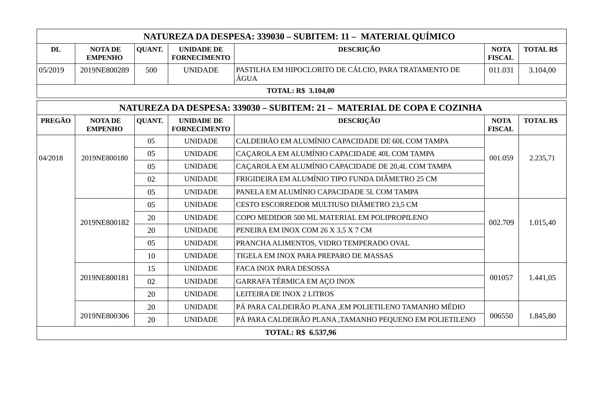| NATUREZA DA DESPESA: 339030 – SUBITEM: 11 – MATERIAL QUÍMICO           |                                  |               |                                          |                                                               |                              |                  |  |  |  |  |
|------------------------------------------------------------------------|----------------------------------|---------------|------------------------------------------|---------------------------------------------------------------|------------------------------|------------------|--|--|--|--|
| DL                                                                     | <b>NOTA DE</b><br><b>EMPENHO</b> | <b>QUANT.</b> | <b>UNIDADE DE</b><br><b>FORNECIMENTO</b> | <b>DESCRIÇÃO</b>                                              | <b>NOTA</b><br><b>FISCAL</b> | <b>TOTAL R\$</b> |  |  |  |  |
| 05/2019                                                                | 2019NE800289                     | 500           | <b>UNIDADE</b>                           | PASTILHA EM HIPOCLORITO DE CÁLCIO, PARA TRATAMENTO DE<br>ÁGUA | 011.031                      | 3.104,00         |  |  |  |  |
|                                                                        | <b>TOTAL: R\$ 3.104,00</b>       |               |                                          |                                                               |                              |                  |  |  |  |  |
| NATUREZA DA DESPESA: 339030 - SUBITEM: 21 - MATERIAL DE COPA E COZINHA |                                  |               |                                          |                                                               |                              |                  |  |  |  |  |
| <b>PREGÃO</b>                                                          | <b>NOTA DE</b><br><b>EMPENHO</b> | <b>QUANT.</b> | <b>UNIDADE DE</b><br><b>FORNECIMENTO</b> | <b>DESCRIÇÃO</b>                                              | <b>NOTA</b><br><b>FISCAL</b> | <b>TOTAL R\$</b> |  |  |  |  |
|                                                                        |                                  | 05            | <b>UNIDADE</b>                           | CALDEIRÃO EM ALUMÍNIO CAPACIDADE DE 60L COM TAMPA             | 001.059                      | 2.235,71         |  |  |  |  |
| 04/2018                                                                | 2019NE800180                     | 05            | <b>UNIDADE</b>                           | CAÇAROLA EM ALUMÍNIO CAPACIDADE 40L COM TAMPA                 |                              |                  |  |  |  |  |
|                                                                        |                                  | 05            | <b>UNIDADE</b>                           | CAÇAROLA EM ALUMÍNIO CAPACIDADE DE 20,4L COM TAMPA            |                              |                  |  |  |  |  |
|                                                                        |                                  | 02            | <b>UNIDADE</b>                           | FRIGIDEIRA EM ALUMÍNIO TIPO FUNDA DIÂMETRO 25 CM              |                              |                  |  |  |  |  |
|                                                                        |                                  | 05            | <b>UNIDADE</b>                           | PANELA EM ALUMÍNIO CAPACIDADE 5L COM TAMPA                    |                              |                  |  |  |  |  |
|                                                                        |                                  | 05            | <b>UNIDADE</b>                           | CESTO ESCORREDOR MULTIUSO DIÂMETRO 23,5 CM                    |                              | 1.015,40         |  |  |  |  |
|                                                                        | 2019NE800182                     | 20            | <b>UNIDADE</b>                           | COPO MEDIDOR 500 ML MATERIAL EM POLIPROPILENO                 | 002.709                      |                  |  |  |  |  |
|                                                                        |                                  | 20            | <b>UNIDADE</b>                           | PENEIRA EM INOX COM 26 X 3,5 X 7 CM                           |                              |                  |  |  |  |  |
|                                                                        |                                  | 05            | <b>UNIDADE</b>                           | PRANCHA ALIMENTOS, VIDRO TEMPERADO OVAL                       |                              |                  |  |  |  |  |
|                                                                        |                                  | 10            | <b>UNIDADE</b>                           | TIGELA EM INOX PARA PREPARO DE MASSAS                         |                              |                  |  |  |  |  |
|                                                                        |                                  | 15            | <b>UNIDADE</b>                           | <b>FACA INOX PARA DESOSSA</b>                                 |                              |                  |  |  |  |  |
|                                                                        | 2019NE800181                     | 02            | <b>UNIDADE</b>                           | <b>GARRAFA TÉRMICA EM AÇO INOX</b>                            | 001057                       | 1.441,05         |  |  |  |  |
|                                                                        |                                  | 20            | <b>UNIDADE</b>                           | LEITEIRA DE INOX 2 LITROS                                     |                              |                  |  |  |  |  |
|                                                                        |                                  | 20            | <b>UNIDADE</b>                           | PÁ PARA CALDEIRÃO PLANA, EM POLIETILENO TAMANHO MÉDIO         |                              | 1.845,80         |  |  |  |  |
|                                                                        | 2019NE800306                     | 20            | <b>UNIDADE</b>                           | PÁ PARA CALDEIRÃO PLANA, TAMANHO PEQUENO EM POLIETILENO       | 006550                       |                  |  |  |  |  |
|                                                                        |                                  |               |                                          | <b>TOTAL: R\$ 6.537,96</b>                                    |                              |                  |  |  |  |  |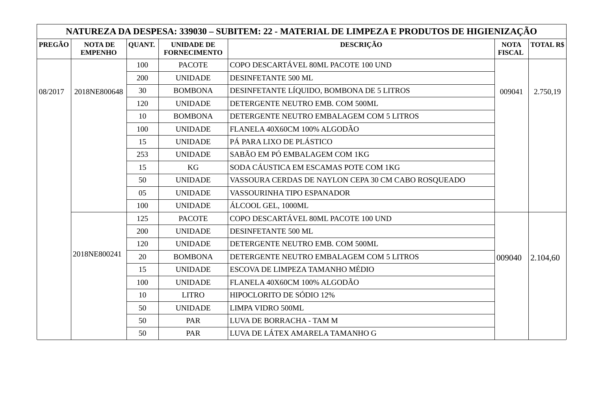|               |                                  |               |                                          | NATUREZA DA DESPESA: 339030 – SUBITEM: 22 - MATERIAL DE LIMPEZA E PRODUTOS DE HIGIENIZAÇÃO |                              |                  |
|---------------|----------------------------------|---------------|------------------------------------------|--------------------------------------------------------------------------------------------|------------------------------|------------------|
| <b>PREGÃO</b> | <b>NOTA DE</b><br><b>EMPENHO</b> | <b>QUANT.</b> | <b>UNIDADE DE</b><br><b>FORNECIMENTO</b> | <b>DESCRIÇÃO</b>                                                                           | <b>NOTA</b><br><b>FISCAL</b> | <b>TOTAL R\$</b> |
|               |                                  | 100           | <b>PACOTE</b>                            | COPO DESCARTÁVEL 80ML PACOTE 100 UND                                                       |                              |                  |
|               |                                  | 200           | <b>UNIDADE</b>                           | DESINFETANTE 500 ML                                                                        |                              |                  |
| 08/2017       | 2018NE800648                     | 30            | <b>BOMBONA</b>                           | DESINFETANTE LÍQUIDO, BOMBONA DE 5 LITROS                                                  | 009041                       | 2.750,19         |
|               |                                  | 120           | <b>UNIDADE</b>                           | DETERGENTE NEUTRO EMB. COM 500ML                                                           |                              |                  |
|               |                                  | 10            | <b>BOMBONA</b>                           | DETERGENTE NEUTRO EMBALAGEM COM 5 LITROS                                                   |                              |                  |
|               |                                  | 100           | <b>UNIDADE</b>                           | FLANELA 40X60CM 100% ALGODÃO                                                               |                              |                  |
|               |                                  | 15            | <b>UNIDADE</b>                           | PÁ PARA LIXO DE PLÁSTICO                                                                   |                              |                  |
|               |                                  | 253           | <b>UNIDADE</b>                           | SABÃO EM PÓ EMBALAGEM COM 1KG                                                              |                              |                  |
|               |                                  | 15            | KG                                       | SODA CÁUSTICA EM ESCAMAS POTE COM 1KG                                                      |                              |                  |
|               |                                  | 50            | <b>UNIDADE</b>                           | VASSOURA CERDAS DE NAYLON CEPA 30 CM CABO ROSQUEADO                                        |                              |                  |
|               |                                  | 05            | <b>UNIDADE</b>                           | VASSOURINHA TIPO ESPANADOR                                                                 |                              |                  |
|               |                                  | 100           | <b>UNIDADE</b>                           | ÁLCOOL GEL, 1000ML                                                                         |                              |                  |
|               |                                  | 125           | <b>PACOTE</b>                            | COPO DESCARTÁVEL 80ML PACOTE 100 UND                                                       |                              |                  |
|               |                                  | 200           | <b>UNIDADE</b>                           | DESINFETANTE 500 ML                                                                        |                              |                  |
|               |                                  | 120           | <b>UNIDADE</b>                           | DETERGENTE NEUTRO EMB. COM 500ML                                                           |                              |                  |
|               | 2018NE800241                     | 20            | <b>BOMBONA</b>                           | DETERGENTE NEUTRO EMBALAGEM COM 5 LITROS                                                   | 009040                       | 2.104,60         |
|               |                                  | 15            | <b>UNIDADE</b>                           | ESCOVA DE LIMPEZA TAMANHO MÉDIO                                                            |                              |                  |
|               |                                  | 100           | <b>UNIDADE</b>                           | FLANELA 40X60CM 100% ALGODÃO                                                               |                              |                  |
|               |                                  | 10            | <b>LITRO</b>                             | HIPOCLORITO DE SÓDIO 12%                                                                   |                              |                  |
|               |                                  | 50            | <b>UNIDADE</b>                           | LIMPA VIDRO 500ML                                                                          |                              |                  |
|               |                                  | 50            | PAR                                      | LUVA DE BORRACHA - TAM M                                                                   |                              |                  |
|               |                                  | 50            | PAR                                      | LUVA DE LÁTEX AMARELA TAMANHO G                                                            |                              |                  |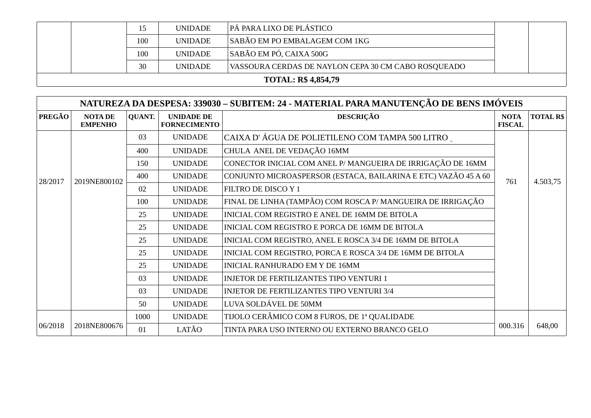|                            | 15  | <b>UNIDADE</b> | PÁ PARA LIXO DE PLÁSTICO                            |  |  |  |  |
|----------------------------|-----|----------------|-----------------------------------------------------|--|--|--|--|
|                            | 100 | <b>UNIDADE</b> | SABÃO EM PO EMBALAGEM COM 1KG                       |  |  |  |  |
|                            | 100 | <b>UNIDADE</b> | SABÃO EM PÓ, CAIXA 500G                             |  |  |  |  |
|                            | 30  | <b>UNIDADE</b> | VASSOURA CERDAS DE NAYLON CEPA 30 CM CABO ROSQUEADO |  |  |  |  |
| <b>TOTAL: R\$ 4,854,79</b> |     |                |                                                     |  |  |  |  |

|               | NATUREZA DA DESPESA: 339030 - SUBITEM: 24 - MATERIAL PARA MANUTENÇÃO DE BENS IMÓVEIS |               |                                          |                                                                |                              |                  |  |  |  |
|---------------|--------------------------------------------------------------------------------------|---------------|------------------------------------------|----------------------------------------------------------------|------------------------------|------------------|--|--|--|
| <b>PREGÃO</b> | <b>NOTADE</b><br><b>EMPENHO</b>                                                      | <b>QUANT.</b> | <b>UNIDADE DE</b><br><b>FORNECIMENTO</b> | <b>DESCRIÇÃO</b>                                               | <b>NOTA</b><br><b>FISCAL</b> | <b>TOTAL R\$</b> |  |  |  |
|               |                                                                                      | 03            | <b>UNIDADE</b>                           | CAIXA D'ÁGUA DE POLIETILENO COM TAMPA 500 LITRO.               |                              |                  |  |  |  |
|               |                                                                                      | 400           | <b>UNIDADE</b>                           | CHULA ANEL DE VEDAÇÃO 16MM                                     |                              |                  |  |  |  |
|               |                                                                                      | 150           | <b>UNIDADE</b>                           | CONECTOR INICIAL COM ANEL P/ MANGUEIRA DE IRRIGAÇÃO DE 16MM    |                              |                  |  |  |  |
| 28/2017       | 400<br>2019NE800102                                                                  |               | <b>UNIDADE</b>                           | CONJUNTO MICROASPERSOR (ESTACA, BAILARINA E ETC) VAZÃO 45 A 60 | 4.503,75<br>761              |                  |  |  |  |
|               |                                                                                      | 02            | <b>UNIDADE</b>                           | FILTRO DE DISCO Y 1                                            |                              |                  |  |  |  |
|               |                                                                                      | 100           | <b>UNIDADE</b>                           | FINAL DE LINHA (TAMPÃO) COM ROSCA P/ MANGUEIRA DE IRRIGAÇÃO    |                              |                  |  |  |  |
|               |                                                                                      | 25            | <b>UNIDADE</b>                           | INICIAL COM REGISTRO E ANEL DE 16MM DE BITOLA                  |                              |                  |  |  |  |
|               |                                                                                      | 25            | <b>UNIDADE</b>                           | INICIAL COM REGISTRO E PORCA DE 16MM DE BITOLA                 |                              |                  |  |  |  |
|               |                                                                                      | 25            | <b>UNIDADE</b>                           | INICIAL COM REGISTRO, ANEL E ROSCA 3/4 DE 16MM DE BITOLA       |                              |                  |  |  |  |
|               |                                                                                      | 25            | <b>UNIDADE</b>                           | INICIAL COM REGISTRO, PORCA E ROSCA 3/4 DE 16MM DE BITOLA      |                              |                  |  |  |  |
|               |                                                                                      | 25            | <b>UNIDADE</b>                           | <b>INICIAL RANHURADO EM Y DE 16MM</b>                          |                              |                  |  |  |  |
|               |                                                                                      | 03            | <b>UNIDADE</b>                           | <b>INJETOR DE FERTILIZANTES TIPO VENTURI 1</b>                 |                              |                  |  |  |  |
|               |                                                                                      | 03            | <b>UNIDADE</b>                           | <b>INJETOR DE FERTILIZANTES TIPO VENTURI 3/4</b>               |                              |                  |  |  |  |
|               |                                                                                      | 50            | <b>UNIDADE</b>                           | LUVA SOLDÁVEL DE 50MM                                          |                              |                  |  |  |  |
|               |                                                                                      | 1000          | <b>UNIDADE</b>                           | TIJOLO CERÂMICO COM 8 FUROS, DE 1ª QUALIDADE                   |                              |                  |  |  |  |
| 06/2018       | 2018NE800676                                                                         | 01            | LATÃO                                    | TINTA PARA USO INTERNO OU EXTERNO BRANCO GELO                  | 000.316                      | 648,00           |  |  |  |